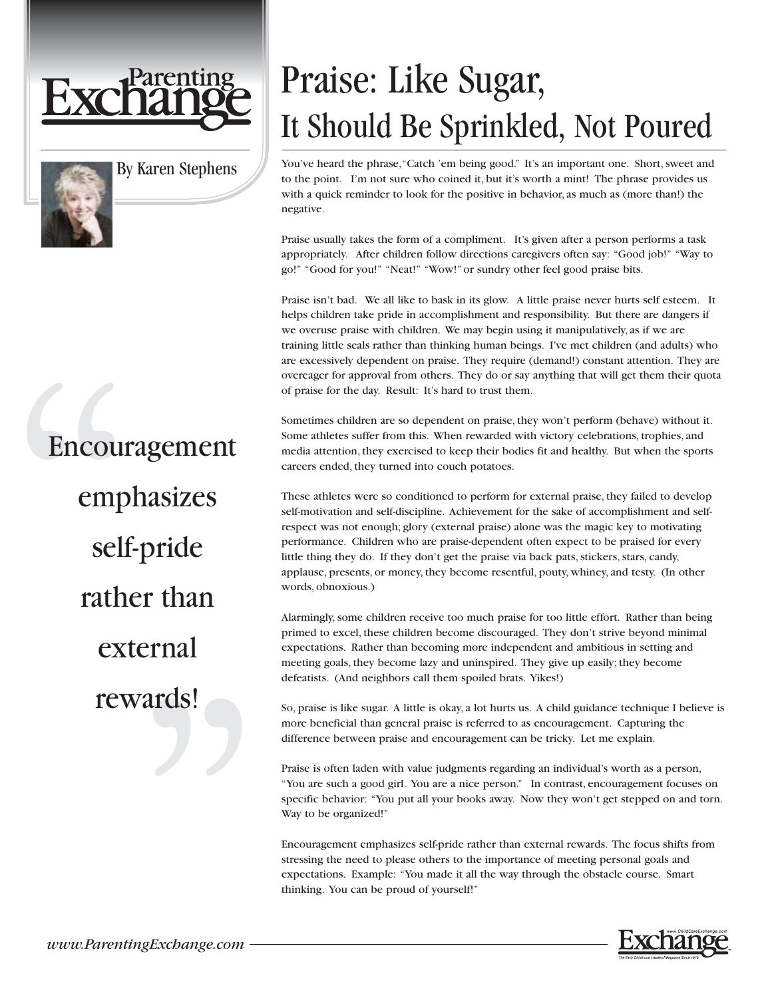

By Karen Stephens

Encouragement emphasizes self-pride rather than external rewards!

## Praise: Like Sugar, It Should Be Sprinkled, Not Poured

You've heard the phrase,"Catch 'em being good." It's an important one. Short, sweet and to the point. I'm not sure who coined it, but it's worth a mint! The phrase provides us with a quick reminder to look for the positive in behavior, as much as (more than!) the negative.

Praise usually takes the form of a compliment. It's given after a person performs a task appropriately. After children follow directions caregivers often say: "Good job!" "Way to go!" "Good for you!" "Neat!" "Wow!" or sundry other feel good praise bits.

Praise isn't bad. We all like to bask in its glow. A little praise never hurts self esteem. It helps children take pride in accomplishment and responsibility. But there are dangers if we overuse praise with children. We may begin using it manipulatively, as if we are training little seals rather than thinking human beings. I've met children (and adults) who are excessively dependent on praise. They require (demand!) constant attention. They are overeager for approval from others. They do or say anything that will get them their quota of praise for the day. Result: It's hard to trust them.

Sometimes children are so dependent on praise, they won't perform (behave) without it. Some athletes suffer from this. When rewarded with victory celebrations, trophies, and media attention, they exercised to keep their bodies fit and healthy. But when the sports careers ended, they turned into couch potatoes.

These athletes were so conditioned to perform for external praise, they failed to develop self-motivation and self-discipline. Achievement for the sake of accomplishment and selfrespect was not enough; glory (external praise) alone was the magic key to motivating performance. Children who are praise-dependent often expect to be praised for every little thing they do. If they don't get the praise via back pats, stickers, stars, candy, applause, presents, or money, they become resentful, pouty, whiney, and testy. (In other words, obnoxious.)

Alarmingly, some children receive too much praise for too little effort. Rather than being primed to excel, these children become discouraged. They don't strive beyond minimal expectations. Rather than becoming more independent and ambitious in setting and meeting goals, they become lazy and uninspired. They give up easily; they become defeatists. (And neighbors call them spoiled brats. Yikes!)

So, praise is like sugar. A little is okay, a lot hurts us. A child guidance technique I believe is more beneficial than general praise is referred to as encouragement. Capturing the difference between praise and encouragement can be tricky. Let me explain.

Praise is often laden with value judgments regarding an individual's worth as a person, "You are such a good girl. You are a nice person." In contrast, encouragement focuses on specific behavior: "You put all your books away. Now they won't get stepped on and torn. Way to be organized!"

Encouragement emphasizes self-pride rather than external rewards. The focus shifts from stressing the need to please others to the importance of meeting personal goals and expectations. Example: "You made it all the way through the obstacle course. Smart thinking. You can be proud of yourself!"